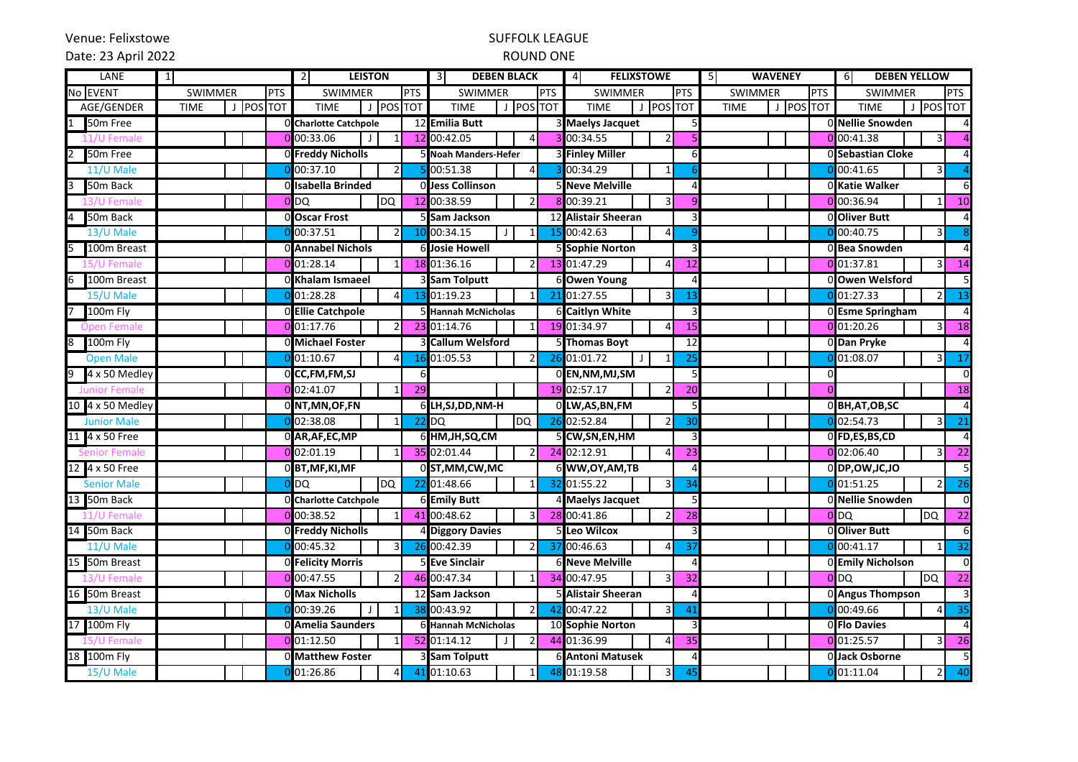Venue: Felixstowe

# SUFFOLK LEAGUE

#### Date: 23 April 2022

## ROUND ONE

| LANE<br>$\mathbf{1}$ |                |           |            | $\overline{2}$<br><b>LEISTON</b> |                |            | $\overline{\mathbf{3}}$<br><b>DEBEN BLACK</b> |                              | <b>FELIXSTOWE</b><br>4            |                | 5<br><b>WAVENEY</b>      |          | 6<br><b>DEBEN YELLOW</b> |                |                         |
|----------------------|----------------|-----------|------------|----------------------------------|----------------|------------|-----------------------------------------------|------------------------------|-----------------------------------|----------------|--------------------------|----------|--------------------------|----------------|-------------------------|
| No EVENT             | <b>SWIMMER</b> |           | <b>PTS</b> | <b>SWIMMER</b>                   |                | <b>PTS</b> | <b>SWIMMER</b>                                | PTS                          | <b>SWIMMER</b>                    | <b>PTS</b>     | <b>SWIMMER</b>           | PTS      | <b>SWIMMER</b>           |                | <b>PTS</b>              |
| AGE/GENDER           | <b>TIME</b>    | J POS TOT |            | <b>TIME</b>                      | J POS TOT      |            | <b>TIME</b>                                   | J POS TOT                    | POS TOT<br><b>TIME</b><br>$\perp$ |                | J POS TOT<br><b>TIME</b> |          | <b>TIME</b>              | J POS TOT      |                         |
| 50 <sub>m</sub> Free |                |           |            | <b>O</b> Charlotte Catchpole     |                |            | 12 Emilia Butt                                |                              | 3 Maelys Jacquet                  |                |                          |          | 0 Nellie Snowden         |                | 4                       |
| .1/U Female          |                |           |            | 0 00:33.06<br>$\perp$            | 1              |            | 12 00:42.05                                   | 4<br>$\overline{\mathbf{z}}$ | $\overline{2}$<br>00:34.55        |                |                          |          | $0$ 00:41.38             | 3              | $\overline{4}$          |
| 50m Free             |                |           |            | 0 Freddy Nicholls                |                |            | 5 Noah Manders-Hefer                          |                              | <b>3 Finley Miller</b>            | 6              |                          |          | O Sebastian Cloke        |                | $\overline{4}$          |
| 11/U Male            |                |           |            | 00:37.10                         | $\overline{2}$ |            | 00:51.38                                      | $\overline{4}$               | 00:34.29<br>$\overline{1}$        |                |                          |          | $0$ <sub>00:41.65</sub>  | 3              | $\overline{4}$          |
| 50m Back             |                |           |            | 0 Isabella Brinded               |                |            | Olless Collinson                              |                              | 5 Neve Melville                   |                |                          |          | 0 Katie Walker           |                | 6                       |
| Female               |                |           |            | 0 <sub>DQ</sub>                  | DQ             |            | 12 00:38.59                                   | 2                            | 00:39.21<br>3                     |                |                          |          | 00:36.94                 | 1              | 10                      |
| 50m Back             |                |           |            | 0 Oscar Frost                    |                |            | <b>Sam Jackson</b>                            |                              | 12 Alistair Sheeran               |                |                          |          | 0 Oliver Butt            |                | $\overline{a}$          |
| 13/U Male            |                |           |            | 00:37.51                         | $\overline{2}$ |            | 00:34.15<br>$\mathsf{J}$                      | 15<br>$\mathbf{1}$           | 00:42.63<br>$\Delta$              |                |                          |          | $0$ <sub>00:40.75</sub>  | 3              | 8                       |
| 100m Breast          |                |           |            | 0 Annabel Nichols                |                |            | <b>6 Josie Howell</b>                         |                              | <b>5 Sophie Norton</b>            |                |                          |          | 0 Bea Snowden            |                | $\overline{4}$          |
|                      |                |           |            | $0$ 01:28.14                     | 1              |            | 18 01:36.16                                   | 2                            | 13 01:47.29                       | 12             |                          |          | $0$ 01:37.81             |                | 14                      |
| 100m Breast<br>6     |                |           |            | OKhalam Ismaeel                  |                |            | 3 Sam Tolputt                                 |                              | 6 Owen Young                      |                |                          |          | 0 Owen Welsford          |                | 5                       |
| 15/U Male            |                |           |            | 01:28.28                         | $\overline{4}$ | 13         | 01:19.23                                      | $\mathbf{1}$<br>21           | 01:27.55<br>$\overline{3}$        | 13             |                          |          | 01:27.33                 | $\mathfrak{p}$ | 13                      |
| 100m Fly             |                |           |            | 0 Ellie Catchpole                |                |            | 5 Hannah McNicholas                           |                              | <b>6 Caitlyn White</b>            |                |                          |          | 0 Esme Springham         |                | $\overline{\mathbf{4}}$ |
| Open Femal           |                |           |            | $0$ 01:17.76                     | 2              |            | 23 01:14.76                                   | $\mathbf{1}$                 | 19 01:34.97<br>4                  | 15             |                          |          | $0$ 01:20.26             | 3              | 18                      |
| 100m Fly<br>8        |                |           |            | 0 Michael Foster                 |                |            | <b>3 Callum Welsford</b>                      |                              | 5 Thomas Boyt                     | 12             |                          |          | 0 Dan Pryke              |                | $\overline{4}$          |
| <b>Open Male</b>     |                |           |            | 01:10.67                         | 4              |            | 01:05.53                                      | $\mathfrak{p}$<br>26         | 01:01.72<br>$\overline{1}$        | 25             |                          |          | 01:08.07                 | 3              | 17                      |
| 4 x 50 Medley<br>9   |                |           |            | 0 CC, FM, FM, SJ                 |                | 6          |                                               |                              | 0 EN, NM, MJ, SM                  | 5              |                          | 0        |                          |                | $\overline{0}$          |
| <b>Junior Female</b> |                |           |            | 0 02:41.07                       | $1\vert$       | 29         |                                               |                              | 19 02:57.17<br>$\overline{2}$     | 20             |                          | $\Omega$ |                          |                | 18                      |
| 10 4 x 50 Medley     |                |           |            | 0 NT,MN,OF,FN                    |                |            | 6 LH, SJ, DD, NM-H                            |                              | 0 LW, AS, BN, FM                  |                |                          |          | 0BH,AT,OB,SC             |                | $\overline{4}$          |
| <b>Junior Male</b>   |                |           |            | 02:38.08                         | $1\vert$       |            | DQ<br>$22$ DQ                                 |                              | 26 02:52.84<br>$\overline{2}$     | 3 <sub>C</sub> |                          |          | 0 02:54.73               |                | $\overline{21}$         |
| 4 x 50 Free          |                |           |            | 0 AR, AF, EC, MP                 |                |            | 6 HM, JH, SQ, CM                              |                              | 5 CW, SN, EN, HM                  |                |                          |          | 0 FD,ES,BS,CD            |                | $\overline{4}$          |
| ienior Female        |                |           |            | $0$ 02:01.19                     | $\mathbf{1}$   |            | 35 02:01.44                                   | $\overline{2}$               | 24 02:12.91<br>4                  | 23             |                          |          | $0$ 02:06.40             | 3              | <b>22</b>               |
| 12 4 x 50 Free       |                |           |            | 0 BT, MF, KI, MF                 |                |            | 0 ST, MM, CW, MC                              |                              | 6 WW, OY, AM, TB                  |                |                          |          | 0 DP, OW, JC, JO         |                | 5                       |
| <b>Senior Male</b>   |                |           |            | DQ                               | DQ             |            | 22 01:48.66                                   | $\mathbf{1}$<br>32           | 01:55.22<br>3                     | 34             |                          |          | $0$ 01:51.25             | $\overline{2}$ | 26                      |
| 50m Back<br>13       |                |           |            | O Charlotte Catchpole            |                |            | <b>6 Emily Butt</b>                           |                              | 4 Maelys Jacquet                  |                |                          |          | 0 Nellie Snowden         |                | 0                       |
| 11/U Female          |                |           |            | $0$ 00:38.52                     | $\mathbf{1}$   |            | 41 00:48.62                                   | 28<br>3                      | 00:41.86<br>$\mathcal{I}$         | 28             |                          |          | 0DQ                      | <b>DQ</b>      | 22                      |
| 50m Back<br>14       |                |           |            | 0 Freddy Nicholls                |                |            | <b>Diggory Davies</b>                         |                              | Leo Wilcox                        |                |                          |          | <b>O</b> Oliver Butt     |                | 6                       |
| 11/U Male            |                |           |            | 00:45.32                         | $\overline{3}$ |            | 00:42.39                                      | 37<br>$\overline{2}$         | 00:46.63<br>4                     | 37             |                          |          | $0$ <sub>00:41.17</sub>  | 1              | 32                      |
| 50m Breast<br>15     |                |           |            | 0 Felicity Morris                |                |            | <b>5 Eve Sinclair</b>                         |                              | <b>6 Neve Melville</b>            |                |                          |          | 0 Emily Nicholson        |                | $\overline{0}$          |
| 3/U Female           |                |           |            | 0 00:47.55                       | $\overline{2}$ |            | 46 00:47.34                                   | 1                            | 34 00:47.95<br>3                  | 32             |                          |          | 0 <sub>DQ</sub>          | DQ             | 22                      |
| 16 50m Breast        |                |           |            | 0 Max Nicholls                   |                |            | 12 Sam Jackson                                |                              | 5 Alistair Sheeran                |                |                          |          | 0 Angus Thompson         |                | $\overline{3}$          |
| 13/U Male            |                |           |            | 00:39.26<br>J                    | 1 <sup>1</sup> |            | 38 00:43.92                                   | 2<br>42                      | 00:47.22<br>$\overline{3}$        | 4 <sup>°</sup> |                          |          | 00:49.66                 | $\Delta$       | 35                      |
| 100m Fly<br>17       |                |           |            | 0 Amelia Saunders                |                |            | <b>6 Hannah McNicholas</b>                    |                              | 10 Sophie Norton                  |                |                          |          | OFIo Davies              |                | $\overline{4}$          |
| Female               |                |           |            | $0$ 01:12.50                     | 1 <sup>1</sup> |            | 52 01:14.12<br>$\mathsf{J}$                   |                              | 44 01:36.99<br>$\overline{4}$     | 35             |                          |          | $0$ 01:25.57             | 3              | 26                      |
| 18 100m Fly          |                |           |            | 0 Matthew Foster                 |                |            | 3 Sam Tolputt                                 |                              | <b>6 Antoni Matusek</b>           |                |                          |          | 0 Jack Osborne           |                | 5                       |
| 15/U Male            |                |           |            | 01:26.86                         | $\overline{4}$ |            | 41 01:10.63                                   | 48                           | 01:19.58<br>3                     | 45             |                          |          | 01:11.04                 | 2 <sub>1</sub> | 40                      |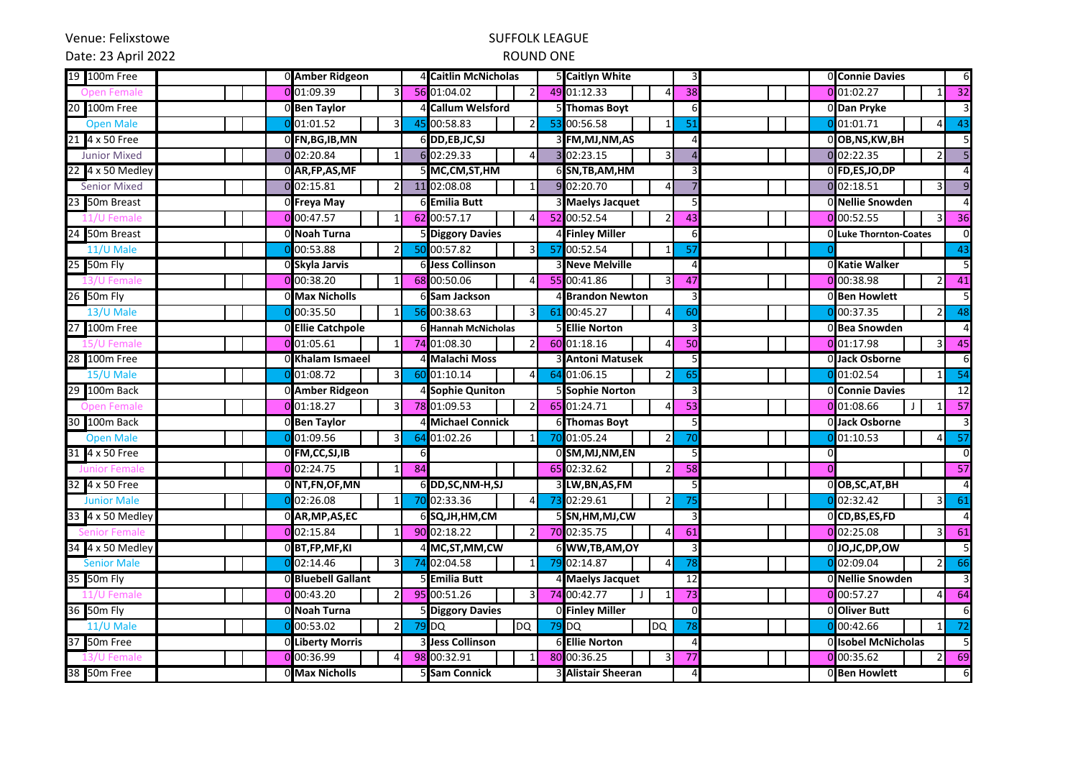Venue: Felixstowe

# SUFFOLK LEAGUE

Date: 23 April 2022

## ROUND ONE

| 19 100m Free        | 0 Amber Ridgeon              |    | 4 Caitlin McNicholas          |    | 5 Caitlyn White               |    |          | 0 Connie Davies<br>6                                           |
|---------------------|------------------------------|----|-------------------------------|----|-------------------------------|----|----------|----------------------------------------------------------------|
| n Female            | 0 01:09.39<br>3              |    | 56 01:04.02<br>$\overline{2}$ | 49 | 01:12.33<br>Δ                 | 38 |          | $0$ 01:02.27<br>32<br>$1\overline{ }$                          |
| 20 100m Free        | 0 Ben Taylor                 |    | 4 Callum Welsford             |    | <b>Thomas Boyt</b>            | 6  |          | 0 Dan Pryke<br>3                                               |
| <b>Open Male</b>    | 01:01.52<br>3                | 45 | 00:58.83                      | 53 | 00:56.58                      | 51 |          | $0$ 01:01.71<br>43<br>4                                        |
| 21 4 x 50 Free      | 0 FN, BG, IB, MN             |    | 6 DD, EB, JC, SJ              |    | 3 FM, MJ, NM, AS              |    |          | O OB, NS, KW, BH<br>5                                          |
| <b>Junior Mixed</b> | 0 02:20.84                   |    | 6 02:29.33<br>$\overline{4}$  |    | 02:23.15<br>3                 |    |          | 0 02:22.35<br>5<br>$\mathcal{P}$                               |
| 22 4 x 50 Medley    | 0 AR, FP, AS, MF             |    | 5 MC,CM,ST,HM                 |    | 6 SN, TB, AM, HM              |    |          | 0 FD,ES,JO,DP<br>$\overline{4}$                                |
| <b>Senior Mixed</b> | 0 02:15.81<br>$\overline{2}$ |    | 11 02:08.08<br>$\mathbf{1}$   |    | 9 02:20.70<br>$\Delta$        |    |          | $\overline{9}$<br>0 02:18.51<br>3 <sup>1</sup>                 |
| 23 50m Breast       | OFreya May                   |    | 6 Emilia Butt                 |    | 3 Maelys Jacquet              |    |          | 0 Nellie Snowden<br>$\overline{4}$                             |
| 11/U Female         | $0$ <sub>00:47.57</sub>      |    | 62 00:57.17<br>$\overline{4}$ |    | 52 00:52.54<br>$\mathcal{P}$  | 43 |          | $0$ 00:52.55<br>$\overline{\mathbf{3}}$<br>36                  |
| 24 50m Breast       | O Noah Turna                 |    | 5 Diggory Davies              |    | 4 Finley Miller               | 6  |          | $\mathbf 0$<br>O Luke Thornton-Coates                          |
| 11/U Male           | 00:53.88<br>$\overline{2}$   |    | 50 00:57.82<br>3              | 57 | 00:52.54<br>$\mathbf{1}$      | 57 |          | 43                                                             |
| 25 50m Fly          | <b>O</b> Skyla Jarvis        |    | 6 Jess Collinson              |    | <b>3 Neve Melville</b>        |    |          | 5<br>0 Katie Walker                                            |
| /U Femal            | 0 00:38.20<br>1              |    | 68 00:50.06<br>4              | 55 | 00:41.86<br>3                 | 47 |          | $0$ 00:38.98<br>41<br>2                                        |
| 26 50m Fly          | 0 Max Nicholls               |    | 6 Sam Jackson                 |    | 4 Brandon Newton              |    |          | OBen Howlett<br>5                                              |
| 13/U Male           | 00:35.50<br>$\mathbf{1}$     | 56 | 00:38.63<br>3                 | 61 | 00:45.27<br>$\overline{4}$    | 60 |          | $0$ <sub>0</sub> 00:37.35<br>$\overline{48}$<br>$\overline{2}$ |
| 27 100m Free        | 0 Ellie Catchpole            |    | 6 Hannah McNicholas           |    | <b>5 Ellie Norton</b>         | ς  |          | $\overline{a}$<br>0 Bea Snowden                                |
| Female              | $0$ 01:05.61                 |    | 74 01:08.30                   |    | 60 01:18.16<br>$\Delta$       | 50 |          | $0$ 01:17.98<br>3 <sup>1</sup><br>45                           |
| 28 100m Free        | 0 Khalam Ismaeel             |    | 4 Malachi Moss                |    | 3 Antoni Matusek              | 5  |          | 0 Jack Osborne<br>6                                            |
| 15/U Male           | 01:08.72<br>3                | 60 | 01:10.14<br>$\Delta$          | 64 | 01:06.15                      | 65 |          | 01:02.54<br>54                                                 |
| 29 100m Back        | 0 Amber Ridgeon              |    | 4 Sophie Quniton              |    | <b>5 Sophie Norton</b>        |    |          | 12<br>0 Connie Davies                                          |
| <b>Open Female</b>  | 0 01:18.27                   |    | 78 01:09.53<br>$\mathcal{P}$  |    | 65 01:24.71<br>Δ              | 53 |          | $0$ 01:08.66<br>57                                             |
| 30 100m Back        | 0 Ben Taylor                 |    | <b>Michael Connick</b>        |    | 6 Thomas Boyt                 |    |          | 0 Jack Osborne<br>3                                            |
| <b>Open Male</b>    | 01:09.56<br>3                | 64 | 01:02.26<br>$\mathbf{1}$      | 70 | 01:05.24<br>2                 | 70 |          | 01:10.53<br>$\overline{57}$                                    |
| 31 4 x 50 Free      | OFM,CC,SJ,IB                 | 6  |                               |    | 0 SM, MJ, NM, EN              | 5  | $\Omega$ | $\mathbf 0$                                                    |
|                     | 0 02:24.75<br>1              | 84 |                               |    | 65 02:32.62<br>$\overline{2}$ | 58 | $\Omega$ | 57                                                             |
| 32 4 x 50 Free      | 0 NT, FN, OF, MN             |    | 6 DD, SC, NM-H, SJ            |    | 3 LW, BN, AS, FM              | 5  |          | $\overline{4}$<br>0 OB, SC, AT, BH                             |
| <b>Junior Male</b>  | 02:26.08<br>$\mathbf{1}$     | 70 | 02:33.36<br>$\overline{4}$    | 73 | 02:29.61<br>$\overline{2}$    | 75 |          | $0$ 02:32.42<br>3<br>61                                        |
| 33 4 x 50 Medley    | 0 AR, MP, AS, EC             |    | 6 SQ, JH, HM, CM              |    | 5 SN, HM, MJ, CW              |    |          | O CD, BS, ES, FD<br>$\overline{4}$                             |
|                     | 02:15.84<br>$\mathbf{1}$     |    | 90 02:18.22<br>$\overline{2}$ |    | 70 02:35.75<br>4              | 61 |          | $0$ 02:25.08<br>$\overline{\mathbf{3}}$<br>61                  |
| 34 4 x 50 Medley    | 0 BT, FP, MF, KI             |    | 4 MC, ST, MM, CW              |    | 6 WW, TB, AM, OY              |    |          | 0 JO,JC,DP,OW                                                  |
| <b>Senior Male</b>  | 02:14.46<br>3                | 74 | 02:04.58<br>$\mathbf{1}$      | 79 | 02:14.87                      | 78 |          | $0$ 02:09.04<br>66<br>2                                        |
| 35 50m Fly          | O Bluebell Gallant           |    | 5 Emilia Butt                 |    | 4 Maelys Jacquet              | 12 |          | $\overline{3}$<br>0 Nellie Snowden                             |
| 11/U Fema           | $0$ 00:43.20<br>2            |    | 95 00:51.26<br>3              |    | 74 00:42.77<br>$\overline{1}$ | 73 |          | 0 00:57.27<br>64<br>4                                          |
| 36 50m Fly          | 0 Noah Turna                 |    | <b>5 Diggory Davies</b>       |    | 0 Finley Miller               | U  |          | 0 Oliver Butt<br>6                                             |
| 11/U Male           | 00:53.02<br>$\overline{2}$   | 79 | DQ<br>DQ                      | 79 | $\overline{DQ}$<br><b>DO</b>  | 78 |          | $0$ 00:42.66<br>$1\vert$<br>72                                 |
| 37 50m Free         | 0 Liberty Morris             |    | 3 Jess Collinson              |    | <b>6 Ellie Norton</b>         |    |          | $\overline{5}$<br>0 Isobel McNicholas                          |
| Femal               | 00:36.99<br>4                | 98 | 00:32.91<br>$\mathbf{1}$      | 80 | 00:36.25<br>3                 | 77 |          | $0$ 00:35.62<br>2 <sup>1</sup><br>69                           |
| 38 50m Free         | 0 Max Nicholls               |    | 5 Sam Connick                 |    | 3 Alistair Sheeran            |    |          | 0 Ben Howlett<br>6                                             |